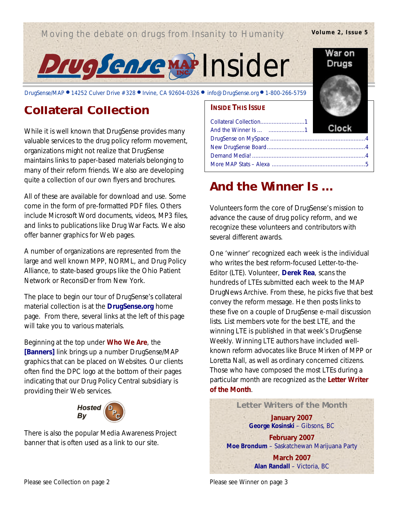## Moving the debate on drugs from Insanity to Humanity

#### **Volume 2, Issue 5**

War on Drugs



DrugSense/MAP ● 14252 Culver Drive #328 ● Irvine, CA 92604-0326 ● info@DrugSense.org ● 1-800-266-5759

# **Collateral Collection**

While it is well known that DrugSense provides many valuable services to the drug policy reform movement, organizations might not realize that DrugSense maintains links to paper-based materials belonging to many of their reform friends. We also are developing quite a collection of our own flyers and brochures.

All of these are available for download and use. Some come in the form of pre-formatted PDF files. Others include Microsoft Word documents, videos, MP3 files, and links to publications like *Drug War Facts*. We also offer banner graphics for Web pages.

A number of organizations are represented from the large and well known MPP, NORML, and Drug Policy Alliance, to state-based groups like the Ohio Patient Network or ReconsiDer from New York.

The place to begin our tour of DrugSense's collateral material collection is at the **DrugSense.org** home page. From there, several links at the left of this page will take you to various materials.

Beginning at the top under **Who We Are**, the **[Banners]** link brings up a number DrugSense/MAP graphics that can be placed on Websites. Our clients often find the DPC logo at the bottom of their pages indicating that our Drug Policy Central subsidiary is providing their Web services.



There is also the popular Media Awareness Project banner that is often used as a link to our site.

#### **INSIDE THIS ISSUE**

# **And the Winner Is …**

Volunteers form the core of DrugSense's mission to advance the cause of drug policy reform, and we recognize these volunteers and contributors with several different awards.

One 'winner' recognized each week is the individual who writes the best reform-focused Letter-to-the-Editor (LTE). Volunteer, **Derek Rea**, scans the hundreds of LTEs submitted each week to the MAP DrugNews Archive. From these, he picks five that best convey the reform message. He then posts links to these five on a couple of DrugSense e-mail discussion lists. List members vote for the best LTE, and the winning LTE is published in that week's *DrugSense Weekly*. Winning LTE authors have included wellknown reform advocates like Bruce Mirken of MPP or Loretta Nall, as well as ordinary concerned citizens. Those who have composed the most LTEs during a particular month are recognized as the **Letter Writer of the Month**.

**Letter Writers of the Month January 2007** *George Kosinski* – Gibsons, BC **February 2007** *Moe Brondum* – Saskatchewan Marijuana Party **March 2007** *Alan Randall* – Victoria, BC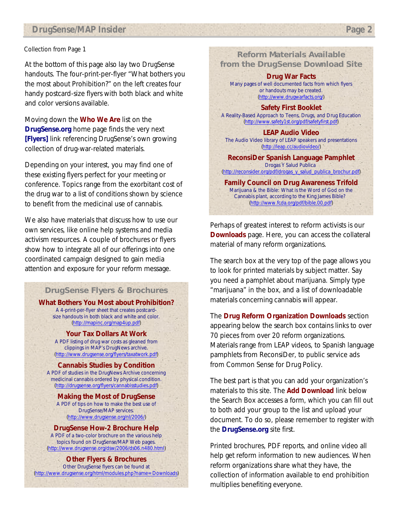#### *Collection* from Page 1

At the bottom of this page also lay two DrugSense handouts. The four-print-per-flyer "What bothers you the most about Prohibition?" on the left creates four handy postcard-size flyers with both black and white and color versions available.

Moving down the **Who We Are** list on the **DrugSense.org** home page finds the very next **[Flyers]** link referencing DrugSense's own growing collection of drug-war-related materials.

Depending on your interest, you may find one of these existing flyers perfect for your meeting or conference. Topics range from the exorbitant cost of the drug war to a list of conditions shown by science to benefit from the medicinal use of cannabis.

We also have materials that discuss how to use our own services, like online help systems and media activism resources. A couple of brochures or flyers show how to integrate all of our offerings into one coordinated campaign designed to gain media attention and exposure for your reform message.

#### **DrugSense Flyers & Brochures**

**What Bothers You Most about Prohibition?** A 4-print-per-flyer sheet that creates postcardsize handouts in both black and white and color. (http://mapinc.org/map4up.pdf)

> **Your Tax Dollars At Work** A PDF listing of drug war costs as gleaned from clippings in MAP's DrugNews archive. (http://www.drugsense.org/flyers/taxatwork.pdf)

**Cannabis Studies by Condition** A PDF of studies in the DrugNews Archive concerning medicinal cannabis ordered by physical condition. (http://drugsense.org/flyers/cannabisstudies.pdf)

**Making the Most of DrugSense** A PDF of tips on how to make the best use of DrugSense/MAP services. (http://www.drugsense.org/nl/2006/)

**DrugSense How-2 Brochure Help** A PDF of a two-color brochure on the various help topics found on DrugSense/MAP Web pages. (http://www.drugsense.org/dsw/2006/ds06.n480.html)

**Other Flyers & Brochures** Other DrugSense flyers can be found at (http://www.drugsense.org/html/modules.php?name=Downloads)

**Reform Materials Available from the DrugSense Download Site**

**Drug War Facts** Many pages of well documented facts from which flyers or handouts may be created. (http://www.drugwarfacts.org/)

**Safety First Booklet** A Reality-Based Approach to Teens, Drugs, and Drug Education (http://www.safety1st.org/pdf/safetyfirst.pdf)

**LEAP Audio Video** The Audio Video library of LEAP speakers and presentations (http://leap.cc/audiovideo/)

**ReconsiDer Spanish Language Pamphlet** Drogas Y Salud Publica (http://reconsider.org/pdf/drogas\_y\_salud\_publica\_brochur.pdf)

**Family Council on Drug Awareness Trifold** Marijuana & the Bible: What is the Word of God on the Cannabis plant, according to the King James Bible? (http://www.fcda.org/pdf/bible.00.pdf)

Perhaps of greatest interest to reform activists is our **Downloads** page. Here, you can access the collateral material of many reform organizations.

The search box at the very top of the page allows you to look for printed materials by subject matter. Say you need a pamphlet about marijuana. Simply type "marijuana" in the box, and a list of downloadable materials concerning cannabis will appear.

The **Drug Reform Organization Downloads** section appearing below the search box contains links to over 70 pieces from over 20 reform organizations. Materials range from LEAP videos, to Spanish language pamphlets from ReconsiDer, to public service ads from Common Sense for Drug Policy.

The best part is that you can add your organization's materials to this site. The **Add Download** link below the Search Box accesses a form, which you can fill out to both add your group to the list and upload your document. To do so, please remember to register with the **DrugSense.org** site first.

Printed brochures, PDF reports, and online video all help get reform information to new audiences. When reform organizations share what they have, the collection of information available to end prohibition multiplies benefiting everyone.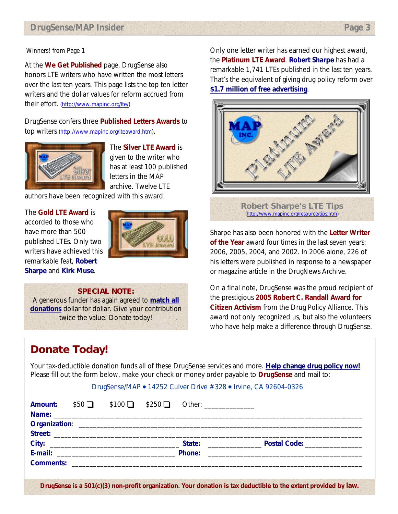#### *Winners!* from Page 1

At the **We Get Published** page, DrugSense also honors LTE writers who have written the most letters over the last ten years. This page lists the top ten letter writers and the dollar values for reform accrued from their effort. (http://www.mapinc.org/lte/)

DrugSense confers three **Published Letters Awards** to top writers (http://www.mapinc.org/lteaward.htm).



The **Silver LTE Award** is given to the writer who has at least 100 published letters in the MAP archive. Twelve LTE

authors have been recognized with this award.

#### The **Gold LTE Award** is

accorded to those who have more than 500 published LTEs. Only two writers have achieved this remarkable feat, **Robert Sharpe** and **Kirk Muse**.



#### **SPECIAL NOTE:**

A generous funder has again agreed to **match all donations** dollar for dollar. Give your contribution twice the value. Donate today!

# **Donate Today!**

Only one letter writer has earned our highest award, the **Platinum LTE Award**. **Robert Sharpe** has had a remarkable 1,741 LTEs published in the last ten years. That's the equivalent of giving drug policy reform over **\$1.7 million of free advertising**.



Sharpe has also been honored with the **Letter Writer of the Year** award four times in the last seven years: 2006, 2005, 2004, and 2002. In 2006 alone, 226 of his letters were published in response to a newspaper or magazine article in the DrugNews Archive.

On a final note, DrugSense was the proud recipient of the prestigious **2005 Robert C. Randall Award for Citizen Activism** from the Drug Policy Alliance. This award not only recognized us, but also the volunteers who have help make a difference through DrugSense.

Your tax-deductible donation funds all of these DrugSense services and more. **Help change drug policy now!**  Please fill out the form below, make your check or money order payable to **DrugSense** and mail to:

#### DrugSense/MAP • 14252 Culver Drive #328 • Irvine, CA 92604-0326

|  |  | <b>Amount:</b> $$50$ $\Box$ $$100$ $\Box$ $$250$ $\Box$ Other: |  |
|--|--|----------------------------------------------------------------|--|
|  |  |                                                                |  |
|  |  |                                                                |  |
|  |  |                                                                |  |
|  |  |                                                                |  |
|  |  |                                                                |  |
|  |  |                                                                |  |
|  |  |                                                                |  |

**DrugSense is a 501(c)(3) non-profit organization. Your donation is tax deductible to the extent provided by law.**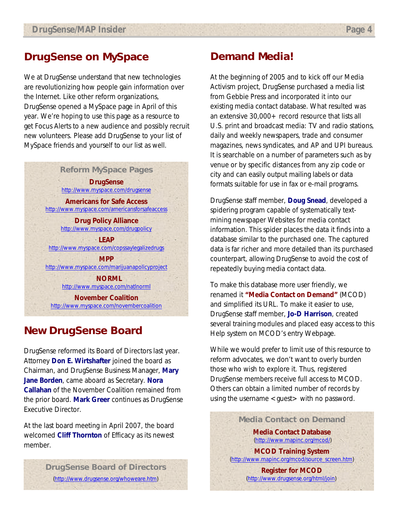### **DrugSense on MySpace**

We at DrugSense understand that new technologies are revolutionizing how people gain information over the Internet. Like other reform organizations, DrugSense opened a MySpace page in April of this year. We're hoping to use this page as a resource to get Focus Alerts to a new audience and possibly recruit new volunteers. Please add DrugSense to your list of MySpace friends and yourself to our list as well.

> **Reform MySpace Pages DrugSense** http://www.myspace.com/drugsense

**Americans for Safe Access** http://www.myspace.com/americansforsafeaccess

> **Drug Policy Alliance** http://www.myspace.com/drugpolicy

**LEAP** http://www.myspace.com/copssaylegalizedrugs

**MPP** http://www.myspace.com/marijuanapolicyproject

 **NORML** http://www.myspace.com/natlnorml

**November Coalition** http://www.myspace.com/novembercoalition

## **New DrugSense Board**

DrugSense reformed its Board of Directors last year. Attorney **Don E. Wirtshafter** joined the board as Chairman, and DrugSense Business Manager, **Mary Jane Borden**, came aboard as Secretary. **Nora Callahan** of the November Coalition remained from the prior board. **Mark Greer** continues as DrugSense Executive Director.

At the last board meeting in April 2007, the board welcomed **Cliff Thornton** of Efficacy as its newest member.

### **Demand Media!**

At the beginning of 2005 and to kick off our Media Activism project, DrugSense purchased a media list from Gebbie Press and incorporated it into our existing media contact database. What resulted was an extensive 30,000+ record resource that lists all U.S. print and broadcast media: TV and radio stations, daily and weekly newspapers, trade and consumer magazines, news syndicates, and AP and UPI bureaus. It is searchable on a number of parameters such as by venue or by specific distances from any zip code or city and can easily output mailing labels or data formats suitable for use in fax or e-mail programs.

DrugSense staff member, **Doug Snead**, developed a spidering program capable of systematically textmining newspaper Websites for media contact information. This spider places the data it finds into a database similar to the purchased one. The captured data is far richer and more detailed than its purchased counterpart, allowing DrugSense to avoid the cost of repeatedly buying media contact data.

To make this database more user friendly, we renamed it **"Media Contact on Demand"** (MCOD) and simplified its URL. To make it easier to use, DrugSense staff member, **Jo-D Harrison**, created several training modules and placed easy access to this Help system on MCOD's entry Webpage.

While we would prefer to limit use of this resource to reform advocates, we don't want to overly burden those who wish to explore it. Thus, registered DrugSense members receive full access to MCOD. Others can obtain a limited number of records by using the username <guest> with no password.

> **Media Contact on Demand Media Contact Database** (http://www.mapinc.org/mcod/)

**MCOD Training System** (http://www.mapinc.org/mcod/source\_screen.htm)

> **Register for MCOD** (http://www.drugsense.org/html/join)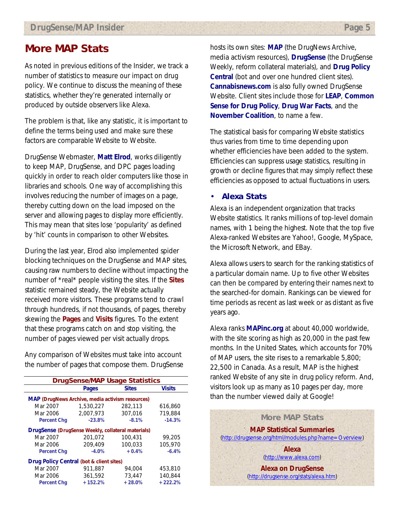## **More MAP Stats**

As noted in previous editions of the *Insider*, we track a number of statistics to measure our impact on drug policy. We continue to discuss the meaning of these statistics, whether they're generated internally or produced by outside observers like Alexa.

The problem is that, like any statistic, it is important to define the terms being used and make sure these factors are comparable Website to Website.

DrugSense Webmaster, **Matt Elrod**, works diligently to keep MAP, DrugSense, and DPC pages loading quickly in order to reach older computers like those in libraries and schools. One way of accomplishing this involves reducing the number of images on a page, thereby cutting down on the load imposed on the server and allowing pages to display more efficiently. This may mean that sites lose 'popularity' as defined by 'hit' counts in comparison to other Websites.

During the last year, Elrod also implemented spider blocking techniques on the DrugSense and MAP sites, causing raw numbers to decline without impacting the number of \*real\* people visiting the sites. If the **Sites** statistic remained steady, the Website actually received more visitors. These programs tend to crawl through hundreds, if not thousands, of pages, thereby skewing the **Pages** and **Visits** figures. To the extent that these programs catch on and stop visiting, the number of pages viewed per visit actually drops.

Any comparison of Websites must take into account the number of pages that compose them. DrugSense

| <b>DrugSense/MAP Usage Statistics</b>                   |              |              |               |  |  |  |  |
|---------------------------------------------------------|--------------|--------------|---------------|--|--|--|--|
|                                                         | <b>Pages</b> | <b>Sites</b> | <b>Visits</b> |  |  |  |  |
| <b>MAP (DrugNews Archive, media activism resources)</b> |              |              |               |  |  |  |  |
| Mar 2007                                                | 1,530,227    | 282,113      | 616,860       |  |  |  |  |
| Mar 2006                                                | 2.007.973    | 307.016      | 719.884       |  |  |  |  |
| <b>Percent Chg</b>                                      | $-23.8%$     | $-8.1%$      | $-14.3%$      |  |  |  |  |
| DrugSense (DrugSense Weekly, collateral materials)      |              |              |               |  |  |  |  |
| Mar 2007                                                | 201.072      | 100,431      | 99.205        |  |  |  |  |
| Mar 2006                                                | 209,409      | 100.033      | 105,970       |  |  |  |  |
| <b>Percent Chg</b>                                      | $-4.0%$      | $+0.4%$      | $-6.4%$       |  |  |  |  |
| Drug Policy Central (bot & client sites)                |              |              |               |  |  |  |  |
| Mar 2007                                                | 911.887      | 94.004       | 453,810       |  |  |  |  |
| Mar 2006                                                | 361.592      | 73.447       | 140.844       |  |  |  |  |
| <b>Percent Chg</b>                                      | $+152.2%$    | $+28.0%$     | $+222.2%$     |  |  |  |  |

hosts its own sites: **MAP** (the DrugNews Archive, media activism resources), **DrugSense** (the *DrugSense Weekly*, reform collateral materials), and **Drug Policy Central** (bot and over one hundred client sites). **Cannabisnews.com** is also fully owned DrugSense Website. Client sites include those for **LEAP**, **Common Sense for Drug Policy**, **Drug War Facts**, and the **November Coalition**, to name a few.

The statistical basis for comparing Website statistics thus varies from time to time depending upon whether efficiencies have been added to the system. Efficiencies can suppress usage statistics, resulting in growth or decline figures that may simply reflect these efficiencies as opposed to actual fluctuations in users.

### • **Alexa Stats**

Alexa is an independent organization that tracks Website statistics. It ranks millions of top-level domain names, with 1 being the highest. Note that the top five Alexa-ranked Websites are Yahoo!, Google, MySpace, the Microsoft Network, and EBay.

Alexa allows users to search for the ranking statistics of a particular domain name. Up to five other Websites can then be compared by entering their names next to the searched-for domain. Rankings can be viewed for time periods as recent as last week or as distant as five years ago.

Alexa ranks **MAPinc.org** at about 40,000 worldwide, with the site scoring as high as 20,000 in the past few months. In the United States, which accounts for 70% of MAP users, the site rises to a remarkable 5,800; 22,500 in Canada. As a result, MAP is the highest ranked Website of any site in drug policy reform. And, visitors look up as many as 10 pages per day, more than the number viewed daily at Google!